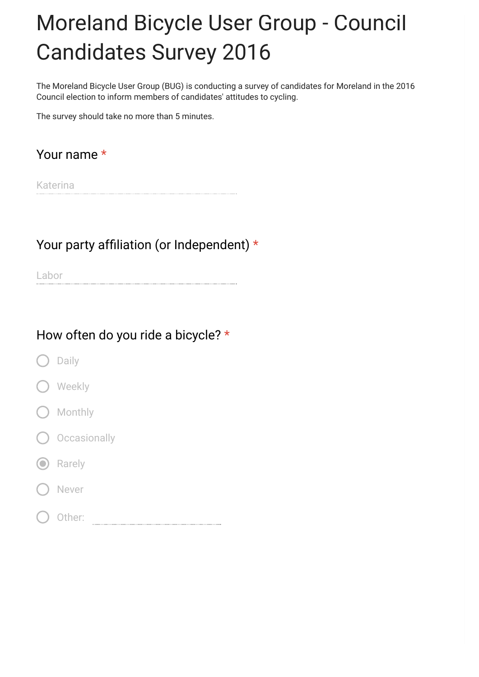# Moreland Bicycle User Group - Council Candidates Survey 2016

The Moreland Bicycle User Group (BUG) is conducting a survey of candidates for Moreland in the 2016 Council election to inform members of candidates' attitudes to cycling.

The survey should take no more than 5 minutes.

## Your name \*

Katerina

#### Your party affiliation (or Independent) \*

Labor

#### How often do you ride a bicycle? \*

- Daily
- Weekly
- Monthly
- **Occasionally**
- **O** Rarely
- Never
- Other: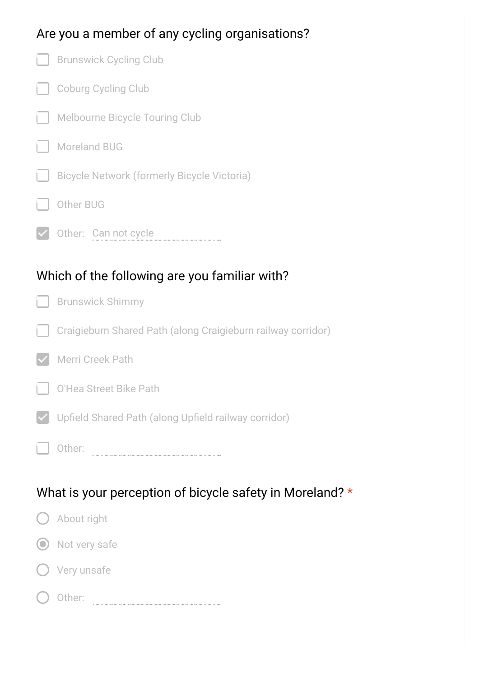## Are you a member of any cycling organisations?

|                                               | <b>Brunswick Cycling Club</b>                                |  |
|-----------------------------------------------|--------------------------------------------------------------|--|
|                                               | <b>Coburg Cycling Club</b>                                   |  |
| L.                                            | <b>Melbourne Bicycle Touring Club</b>                        |  |
|                                               | <b>Moreland BUG</b>                                          |  |
| H                                             | <b>Bicycle Network (formerly Bicycle Victoria)</b>           |  |
|                                               | Other BUG                                                    |  |
|                                               | Other: Can not cycle                                         |  |
|                                               |                                                              |  |
| Which of the following are you familiar with? |                                                              |  |
| гI                                            | <b>Brunswick Shimmy</b>                                      |  |
|                                               |                                                              |  |
|                                               | Craigieburn Shared Path (along Craigieburn railway corridor) |  |
|                                               | Merri Creek Path                                             |  |
|                                               | O'Hea Street Bike Path                                       |  |
|                                               | Upfield Shared Path (along Upfield railway corridor)         |  |

## What is your perception of bicycle safety in Moreland? \*

| $\bigcup$ About right |
|-----------------------|
| O Not very safe       |
| () Very unsafe        |
| Other:                |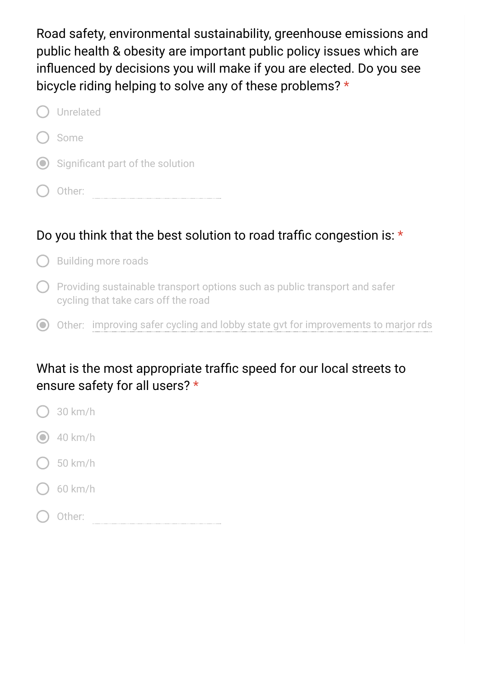Road safety, environmental sustainability, greenhouse emissions and public health & obesity are important public policy issues which are influenced by decisions you will make if you are elected. Do you see bicycle riding helping to solve any of these problems? \*

| ( ) Unrelated                        |
|--------------------------------------|
| ( ) Some                             |
| (O) Significant part of the solution |
| Other:                               |

## Do you think that the best solution to road traffic congestion is:  $\star$

- $\bigcap$  Building more roads
- $\bigcap$  Providing sustainable transport options such as public transport and safer cycling that take cars off the road
- Other: improving safer cycling and lobby state gvt for improvements to marjor rds

## What is the most appropriate traffic speed for our local streets to ensure safety for all users? \*

- 30 km/h
- $\odot$  40 km/h
- 50 km/h
- 60 km/h
- Other: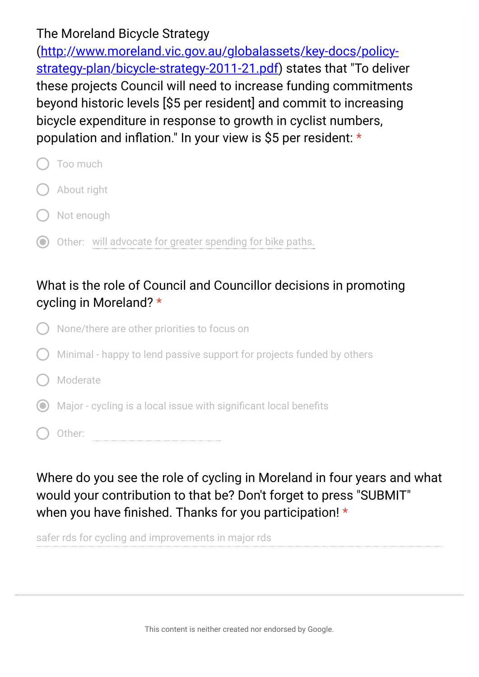### The Moreland Bicycle Strategy

(http://www.moreland.vic.gov.au/globalassets/key-docs/policy[strategy-plan/bicycle-strategy-2011-21.pdf\) states that "To delive](https://www.google.com/url?q=http://www.moreland.vic.gov.au/globalassets/key-docs/policy-strategy-plan/bicycle-strategy-2011-21.pdf&sa=D&ust=1475587845598000&usg=AFQjCNHboRX8PJQD-_p4KU9TZuzWR1sFCA)r these projects Council will need to increase funding commitments beyond historic levels [\$5 per resident] and commit to increasing bicycle expenditure in response to growth in cyclist numbers, population and inflation." In your view is \$5 per resident:  $*$ 

- Too much About right Not enough
- Other: will advocate for greater spending for bike paths.

## What is the role of Council and Councillor decisions in promoting cycling in Moreland? \*

- None/there are other priorities to focus on
- Minimal happy to lend passive support for projects funded by others
- Moderate
- $\odot$  Major cycling is a local issue with significant local benefits
- Other:

Where do you see the role of cycling in Moreland in four years and what would your contribution to that be? Don't forget to press "SUBMIT" when you have finished. Thanks for you participation!  $*$ 

safer rds for cycling and improvements in major rds